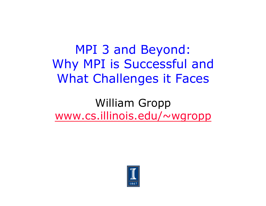MPI 3 and Beyond: Why MPI is Successful and What Challenges it Faces

William Gropp www.cs.illinois.edu/~wgropp

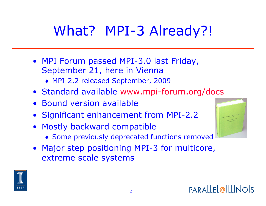# What? MPI-3 Already?!

- MPI Forum passed MPI-3.0 last Friday, September 21, here in Vienna
	- ♦ MPI-2.2 released September, 2009
- Standard available www.mpi-forum.org/docs
- Bound version available
- Significant enhancement from MPI-2.2
- Mostly backward compatible
	- ♦ Some previously deprecated functions removed
- Major step positioning MPI-3 for multicore, extreme scale systems

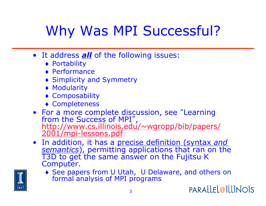# Why Was MPI Successful?

- It address *all* of the following issues:
	- ♦ Portability
	- ♦ Performance
	- ♦ Simplicity and Symmetry
	- ♦ Modularity
	- ♦ Composability
	- ♦ Completeness
- For a more complete discussion, see "Learning from the Success of MPI" , http://www.cs.illinois.edu/~wgropp/bib/papers/ 2001/mpi-lessons.pdf
- In addition, it has a precise definition (syntax *and semantics*), permitting applications that ran on the<br>T3D to get the same answer on the Fujitsu K Computer.
	- ♦ See papers from U Utah, U Delaware, and others on formal analysis of MPI programs



PARALLEL@ILLINOIS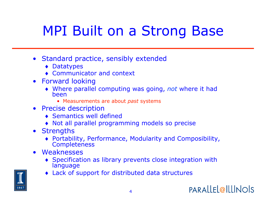## MPI Built on a Strong Base

- Standard practice, sensibly extended
	- ♦ Datatypes
	- ♦ Communicator and context
- Forward looking
	- ♦ Where parallel computing was going, *not* where it had been
		- Measurements are about *past* systems
- Precise description
	- ♦ Semantics well defined
	- ♦ Not all parallel programming models so precise
- Strengths
	- ♦ Portability, Performance, Modularity and Composibility, **Completeness**
- Weaknesses
	- ♦ Specification as library prevents close integration with language
	- ♦ Lack of support for distributed data structures

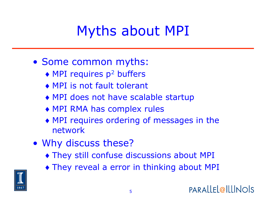## Myths about MPI

- Some common myths:
	- $\triangleleft$  MPI requires p<sup>2</sup> buffers
	- ♦ MPI is not fault tolerant
	- ♦ MPI does not have scalable startup
	- ♦ MPI RMA has complex rules
	- ♦ MPI requires ordering of messages in the network
- Why discuss these?
	- ♦ They still confuse discussions about MPI
	- ♦ They reveal a error in thinking about MPI

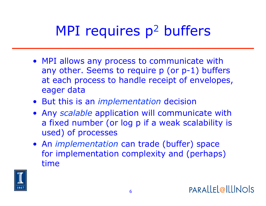# MPI requires p<sup>2</sup> buffers

- MPI allows any process to communicate with any other. Seems to require p (or p-1) buffers at each process to handle receipt of envelopes, eager data
- But this is an *implementation* decision
- Any *scalable* application will communicate with a fixed number (or log p if a weak scalability is used) of processes
- An *implementation* can trade (buffer) space for implementation complexity and (perhaps) time

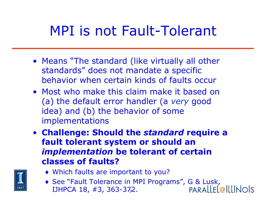### MPI is not Fault-Tolerant

- Means "The standard (like virtually all other standards" does not mandate a specific behavior when certain kinds of faults occur
- Most who make this claim make it based on (a) the default error handler (a *very* good idea) and (b) the behavior of some implementations
- **Challenge: Should the** *standard* **require a fault tolerant system or should an**  *implementation* **be tolerant of certain classes of faults?**



- ♦ Which faults are important to you?
- 7 IJHPCA 18, #3, 363-372. ◆ See "Fault Tolerance in MPI Programs", G & Lusk,<br>IJHPCA 18, #3, 363-372. PARALLEL@ILLINOIS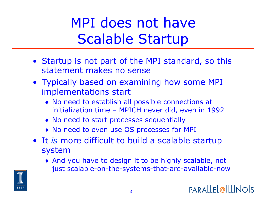# MPI does not have Scalable Startup

- Startup is not part of the MPI standard, so this statement makes no sense
- Typically based on examining how some MPI implementations start
	- ♦ No need to establish all possible connections at initialization time – MPICH never did, even in 1992
	- ♦ No need to start processes sequentially
	- ♦ No need to even use OS processes for MPI
- It *is* more difficult to build a scalable startup system
	- ♦ And you have to design it to be highly scalable, not just scalable-on-the-systems-that-are-available-now

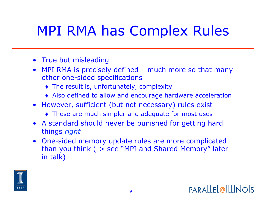## MPI RMA has Complex Rules

- True but misleading
- MPI RMA is precisely defined much more so that many other one-sided specifications
	- ♦ The result is, unfortunately, complexity
	- ♦ Also defined to allow and encourage hardware acceleration
- However, sufficient (but not necessary) rules exist
	- ♦ These are much simpler and adequate for most uses
- A standard should never be punished for getting hard things *right*
- One-sided memory update rules are more complicated than you think (-> see "MPI and Shared Memory" later in talk)

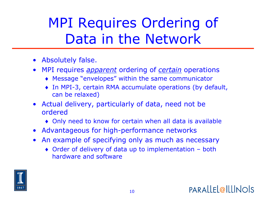## MPI Requires Ordering of Data in the Network

- Absolutely false.
- MPI requires *apparent* ordering of *certain* operations
	- ♦ Message "envelopes" within the same communicator
	- ♦ In MPI-3, certain RMA accumulate operations (by default, can be relaxed)
- Actual delivery, particularly of data, need not be ordered
	- ♦ Only need to know for certain when all data is available
- Advantageous for high-performance networks
- An example of specifying only as much as necessary
	- ♦ Order of delivery of data up to implementation both hardware and software

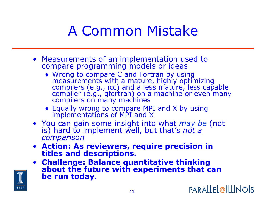### A Common Mistake

- Measurements of an implementation used to compare programming models or ideas
	- ♦ Wrong to compare C and Fortran by using measurements with a mature, highly optimizing compilers (e.g., icc) and a less mature, less capable compiler (e.g., gfortran) on a machine or even many compilers on many machines
	- ♦ Equally wrong to compare MPI and X by using implementations of MPI and X
- You can gain some insight into what *may be* (not is) hard to implement well, but that's *not a comparison*
- **Action: As reviewers, require precision in titles and descriptions.**
- **Challenge: Balance quantitative thinking about the future with experiments that can be run today.**

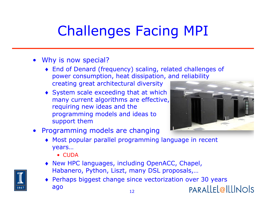# Challenges Facing MPI

- Why is now special?
	- ♦ End of Denard (frequency) scaling, related challenges of power consumption, heat dissipation, and reliability creating great architectural diversity
	- ♦ System scale exceeding that at which many current algorithms are effective, requiring new ideas and the programming models and ideas to support them



- Programming models are changing
	- ♦ Most popular parallel programming language in recent years…
		- CUDA
	- ♦ New HPC languages, including OpenACC, Chapel, Habanero, Python, Liszt, many DSL proposals,…
	- ♦ Perhaps biggest change since vectorization over 30 years ago PARALLEL@ILLINOIS 12

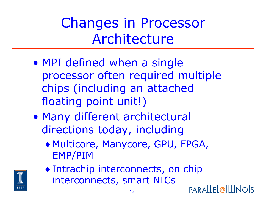Changes in Processor Architecture

- MPI defined when a single processor often required multiple chips (including an attached floating point unit!)
- Many different architectural directions today, including
	- ♦ Multicore, Manycore, GPU, FPGA, EMP/PIM

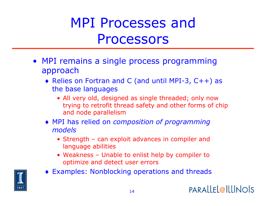## MPI Processes and Processors

- MPI remains a single process programming approach
	- ♦ Relies on Fortran and C (and until MPI-3, C++) as the base languages
		- All very old, designed as single threaded; only now trying to retrofit thread safety and other forms of chip and node parallelism
	- ♦ MPI has relied on *composition of programming models*
		- Strength can exploit advances in compiler and language abilities
		- Weakness Unable to enlist help by compiler to optimize and detect user errors
	- ♦ Examples: Nonblocking operations and threads

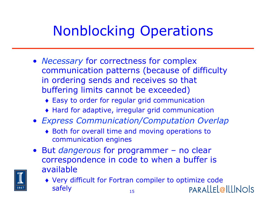## Nonblocking Operations

- *Necessary* for correctness for complex communication patterns (because of difficulty in ordering sends and receives so that buffering limits cannot be exceeded)
	- ♦ Easy to order for regular grid communication
	- ♦ Hard for adaptive, irregular grid communication
- *Express Communication/Computation Overlap* 
	- ♦ Both for overall time and moving operations to communication engines
- But *dangerous* for programmer no clear correspondence in code to when a buffer is available
	- ♦ Very difficult for Fortran compiler to optimize code safely **PARALLEL@ILLINOIS** 15

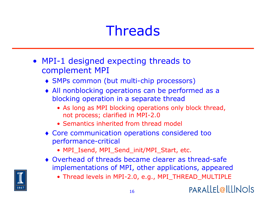# **Threads**

- MPI-1 designed expecting threads to complement MPI
	- ♦ SMPs common (but multi-chip processors)
	- ♦ All nonblocking operations can be performed as a blocking operation in a separate thread
		- As long as MPI blocking operations only block thread, not process; clarified in MPI-2.0
		- Semantics inherited from thread model
	- ♦ Core communication operations considered too performance-critical
		- MPI\_Isend, MPI\_Send\_init/MPI\_Start, etc.
	- ♦ Overhead of threads became clearer as thread-safe implementations of MPI, other applications, appeared
		- Thread levels in MPI-2.0, e.g., MPI\_THREAD\_MULTIPLE



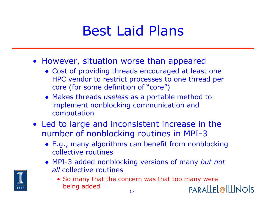### Best Laid Plans

- However, situation worse than appeared
	- ♦ Cost of providing threads encouraged at least one HPC vendor to restrict processes to one thread per core (for some definition of "core")
	- ♦ Makes threads *useless* as a portable method to implement nonblocking communication and computation
- Led to large and inconsistent increase in the number of nonblocking routines in MPI-3
	- ♦ E.g., many algorithms can benefit from nonblocking collective routines
	- ♦ MPI-3 added nonblocking versions of many *but not all* collective routines
		- So many that the concern was that too many were being added **PARALLEL@ILLINOIS** 17

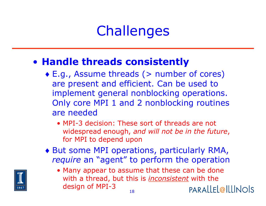## **Challenges**

#### • **Handle threads consistently**

- ♦ E.g., Assume threads (> number of cores) are present and efficient. Can be used to implement general nonblocking operations. Only core MPI 1 and 2 nonblocking routines are needed
	- MPI-3 decision: These sort of threads are not widespread enough, *and will not be in the future*, for MPI to depend upon
- ♦ But some MPI operations, particularly RMA, *require* an "agent" to perform the operation
	- Many appear to assume that these can be done with a thread, but this is *inconsistent* with the design of MPI-3 PARALLEL@ILLINOIS 18

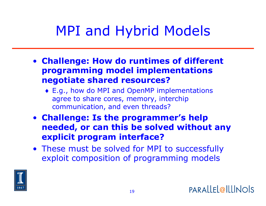## MPI and Hybrid Models

- **Challenge: How do runtimes of different programming model implementations negotiate shared resources?** 
	- ♦ E.g., how do MPI and OpenMP implementations agree to share cores, memory, interchip communication, and even threads?
- **Challenge: Is the programmer's help needed, or can this be solved without any explicit program interface?**
- These must be solved for MPI to successfully exploit composition of programming models

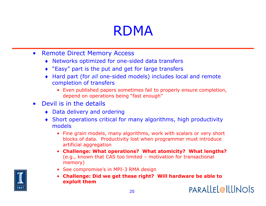### RDMA

- Remote Direct Memory Access
	- ♦ Networks optimized for one-sided data transfers
	- ♦ "Easy" part is the put and get for large transfers
	- ♦ Hard part (for *all* one-sided models) includes local and remote completion of transfers
		- Even published papers sometimes fail to properly ensure completion, depend on operations being "fast enough"
- Devil is in the details
	- ♦ Data delivery and ordering
	- ♦ Short operations critical for many algorithms, high productivity models
		- Fine grain models, many algorithms, work with scalars or very short blocks of data. Productivity lost when programmer must introduce artificial aggregation
		- **Challenge: What operations? What atomicity? What lengths?**  (e.g., known that CAS too limited – motivation for transactional memory)
		- See compromise's in MPI-3 RMA design
		- **Challenge: Did we get these right? Will hardware be able to exploit them**

**PARALLEL@ILLINOIS** 

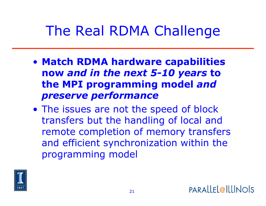### The Real RDMA Challenge

- **Match RDMA hardware capabilities now** *and in the next 5-10 years* **to the MPI programming model** *and preserve performance*
- The issues are not the speed of block transfers but the handling of local and remote completion of memory transfers and efficient synchronization within the programming model

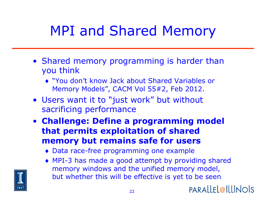## MPI and Shared Memory

- Shared memory programming is harder than you think
	- ♦ "You don't know Jack about Shared Variables or Memory Models", CACM Vol 55#2, Feb 2012.
- Users want it to "just work" but without sacrificing performance
- **Challenge: Define a programming model that permits exploitation of shared memory but remains safe for users** 
	- ♦ Data race-free programming one example
	- ♦ MPI-3 has made a good attempt by providing shared memory windows and the unified memory model, but whether this will be effective is yet to be seen



**PARALLEL@ILLINOIS**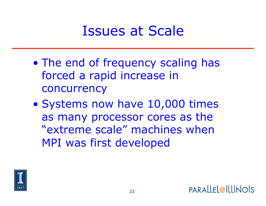### Issues at Scale

- The end of frequency scaling has forced a rapid increase in concurrency
- Systems now have 10,000 times as many processor cores as the "extreme scale" machines when MPI was first developed

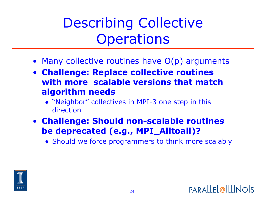Describing Collective **Operations** 

- Many collective routines have O(p) arguments
- **Challenge: Replace collective routines with more scalable versions that match algorithm needs** 
	- ♦ "Neighbor" collectives in MPI-3 one step in this direction
- **Challenge: Should non-scalable routines be deprecated (e.g., MPI\_Alltoall)?** 
	- ♦ Should we force programmers to think more scalably

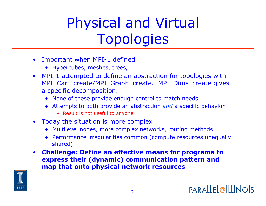# Physical and Virtual Topologies

- Important when MPI-1 defined
	- ♦ Hypercubes, meshes, trees, …
- MPI-1 attempted to define an abstraction for topologies with MPI\_Cart\_create/MPI\_Graph\_create. MPI\_Dims\_create gives a specific decomposition.
	- ♦ None of these provide enough control to match needs
	- ♦ Attempts to both provide an abstraction *and* a specific behavior
		- Result is not useful to anyone
- Today the situation is more complex
	- ♦ Multilevel nodes, more complex networks, routing methods
	- ♦ Performance irregularities common (compute resources unequally shared)
- **Challenge: Define an effective means for programs to express their (dynamic) communication pattern and map that onto physical network resources**

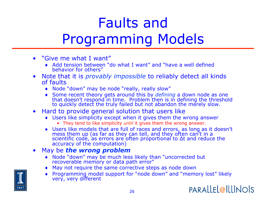# Faults and Programming Models

- "Give me what I want"
	- ♦ Add tension between "do what I want" and "have a well defined behavior for others"
- Note that it is *provably impossible* to reliably detect all kinds of faults
	- ♦ Node "down" may be node "really, really slow"
	- ♦ Some recent theory gets around this by *defining* a down node as one that doesn't respond in time. Problem then is in defining the threshold to quickly detect the truly failed but not abandon the merely slow.
- Hard to provide general solution that users like
	- ♦ Users like simplicity except when it gives them the wrong answer
		- They tend to like simplicity *until* it gives them the wrong answer.
	- ♦ Users like models that are full of races and errors, as long as it doesn't mess them up (as far as they can tell, and they often can't in a scientific code, as errors are often proportional to Δt and reduce the accuracy of the computation)
- May be *the wrong problem* 
	- ♦ Node "down" may be much less likely than "uncorrected but recoverable memory or data path error"
	- ♦ May not require the same corrective steps as node down
	- ♦ Programming model support for "node down" and "memory lost" likely very, very different

**PARALLEL@ILLINOIS** 

26

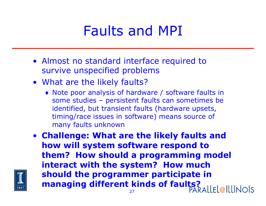### Faults and MPI

- Almost no standard interface required to survive unspecified problems
- What are the likely faults?
	- ♦ Note poor analysis of hardware / software faults in some studies – persistent faults can sometimes be identified, but transient faults (hardware upsets, timing/race issues in software) means source of many faults unknown
- **Challenge: What are the likely faults and how will system software respond to them? How should a programming model interact with the system? How much should the programmer participate in managing different kinds of faults?**

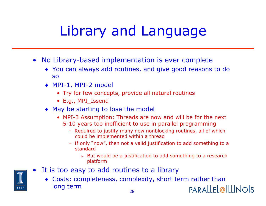## Library and Language

- No Library-based implementation is ever complete
	- ♦ You can always add routines, and give good reasons to do so
	- ♦ MPI-1, MPI-2 model
		- Try for few concepts, provide all natural routines
		- E.g., MPI\_Issend
	- ♦ May be starting to lose the model
		- MPI-3 Assumption: Threads are now and will be for the next 5-10 years too inefficient to use in parallel programming
			- Required to justify many new nonblocking routines, all of which could be implemented within a thread
			- If only "now", then not a valid justification to add something to a standard
				- $\triangleright$  But would be a justification to add something to a research platform
- It is too easy to add routines to a library
	- ♦ Costs: completeness, complexity, short term rather than long term **PARALLEL@ILLINOIS**

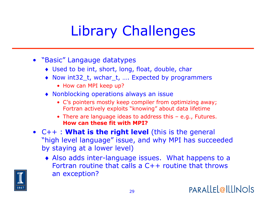# Library Challenges

- "Basic" Langauge datatypes
	- ♦ Used to be int, short, long, float, double, char
	- ♦ Now int32\_t, wchar\_t, …. Expected by programmers
		- How can MPI keep up?
	- ♦ Nonblocking operations always an issue
		- C's pointers mostly keep compiler from optimizing away; Fortran actively exploits "knowing" about data lifetime
		- There are language ideas to address this e.g., Futures. **How can these fit with MPI?**
- C++ : **What is the right level** (this is the general "high level language" issue, and why MPI has succeeded by staying at a lower level)
	- ♦ Also adds inter-language issues. What happens to a Fortran routine that calls a C++ routine that throws an exception?



**PARALLEL@ILLINOIS**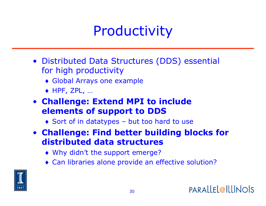### Productivity

- Distributed Data Structures (DDS) essential for high productivity
	- ♦ Global Arrays one example
	- $\leftrightarrow$  HPF, ZPL, ...
- **Challenge: Extend MPI to include elements of support to DDS** 
	- ♦ Sort of in datatypes but too hard to use
- **Challenge: Find better building blocks for distributed data structures** 
	- ♦ Why didn't the support emerge?
	- ♦ Can libraries alone provide an effective solution?

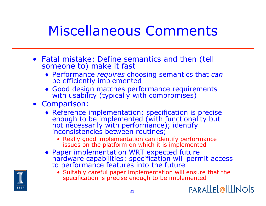### Miscellaneous Comments

- Fatal mistake: Define semantics and then (tell someone to) make it fast
	- ♦ Performance *requires* choosing semantics that *can* be efficiently implemented
	- ♦ Good design matches performance requirements with usability (typically with compromises)
- Comparison:
	- ♦ Reference implementation: specification is precise enough to be implemented (with functionality but not necessarily with performance); identify inconsistencies between routines;
		- Really good implementation can identify performance issues on the platform on which it is implemented
	- ♦ Paper implementation WRT expected future hardware capabilities: specification will permit access to performance features into the future
		- Suitably careful paper implementation will ensure that the specification is precise enough to be implemented



**PARALLEL@ILLINOIS**